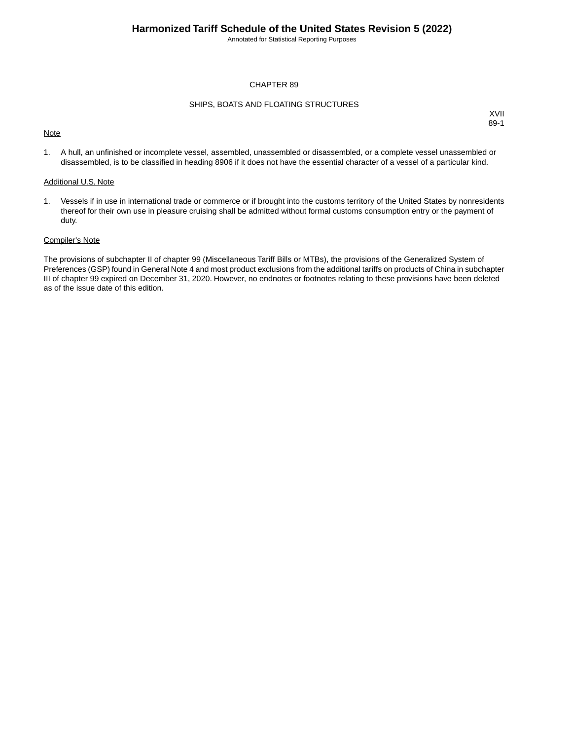Annotated for Statistical Reporting Purposes

## CHAPTER 89

### SHIPS, BOATS AND FLOATING STRUCTURES

## **Note**

XVII 89-1

1. A hull, an unfinished or incomplete vessel, assembled, unassembled or disassembled, or a complete vessel unassembled or disassembled, is to be classified in heading 8906 if it does not have the essential character of a vessel of a particular kind.

#### Additional U.S. Note

1. Vessels if in use in international trade or commerce or if brought into the customs territory of the United States by nonresidents thereof for their own use in pleasure cruising shall be admitted without formal customs consumption entry or the payment of duty.

#### Compiler's Note

The provisions of subchapter II of chapter 99 (Miscellaneous Tariff Bills or MTBs), the provisions of the Generalized System of Preferences (GSP) found in General Note 4 and most product exclusions from the additional tariffs on products of China in subchapter III of chapter 99 expired on December 31, 2020. However, no endnotes or footnotes relating to these provisions have been deleted as of the issue date of this edition.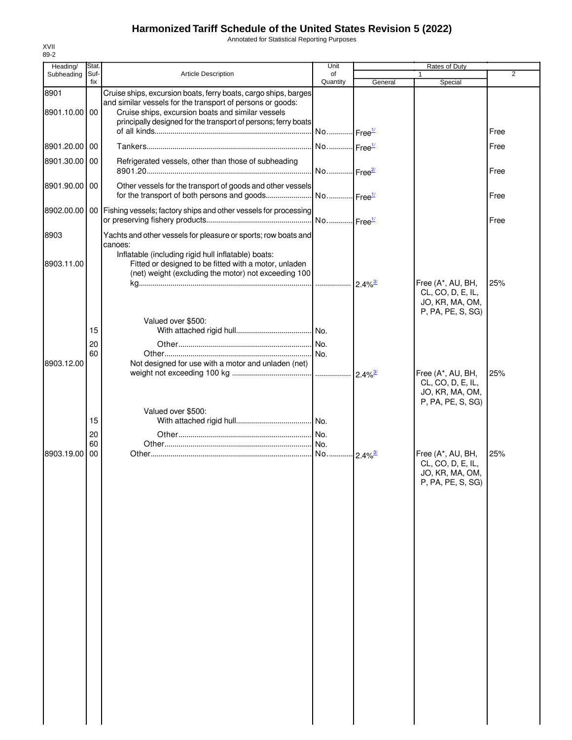Annotated for Statistical Reporting Purposes

| Heading/      | Stat.       |                                                                                                                     | Unit                  |                        | Rates of Duty                        |                |
|---------------|-------------|---------------------------------------------------------------------------------------------------------------------|-----------------------|------------------------|--------------------------------------|----------------|
| Subheading    | Suf-<br>fix | <b>Article Description</b>                                                                                          | of<br>Quantity        | General                | Special                              | $\overline{2}$ |
| 8901          |             | Cruise ships, excursion boats, ferry boats, cargo ships, barges                                                     |                       |                        |                                      |                |
| 8901.10.00 00 |             | and similar vessels for the transport of persons or goods:                                                          |                       |                        |                                      |                |
|               |             | Cruise ships, excursion boats and similar vessels<br>principally designed for the transport of persons; ferry boats |                       |                        |                                      |                |
|               |             |                                                                                                                     | No Free <sup>1/</sup> |                        |                                      | Free           |
| 8901.20.00 00 |             |                                                                                                                     | No Free <sup>1/</sup> |                        |                                      | Free           |
| 8901.30.00 00 |             | Refrigerated vessels, other than those of subheading                                                                |                       |                        |                                      |                |
|               |             |                                                                                                                     | No Free <sup>2/</sup> |                        |                                      | Free           |
| 8901.90.00 00 |             | Other vessels for the transport of goods and other vessels<br>for the transport of both persons and goods           | No Free <sup>1/</sup> |                        |                                      | Free           |
|               |             | 8902.00.00   00   Fishing vessels; factory ships and other vessels for processing                                   | No Free <sup>1/</sup> |                        |                                      | Free           |
| 8903          |             | Yachts and other vessels for pleasure or sports; row boats and                                                      |                       |                        |                                      |                |
|               |             | canoes:                                                                                                             |                       |                        |                                      |                |
|               |             | Inflatable (including rigid hull inflatable) boats:                                                                 |                       |                        |                                      |                |
| 8903.11.00    |             | Fitted or designed to be fitted with a motor, unladen<br>(net) weight (excluding the motor) not exceeding 100       |                       |                        |                                      |                |
|               |             |                                                                                                                     |                       | $2.4\%$ <sup>3/</sup>  | Free (A*, AU, BH,                    | 25%            |
|               |             |                                                                                                                     |                       |                        | CL, CO, D, E, IL,                    |                |
|               |             |                                                                                                                     |                       |                        | JO, KR, MA, OM,<br>P, PA, PE, S, SG) |                |
|               |             | Valued over \$500:                                                                                                  |                       |                        |                                      |                |
|               | 15          |                                                                                                                     |                       |                        |                                      |                |
|               | 20<br>60    |                                                                                                                     | I No.                 |                        |                                      |                |
| 8903.12.00    |             | Not designed for use with a motor and unladen (net)                                                                 |                       |                        |                                      |                |
|               |             |                                                                                                                     |                       | $2.4\%$ <sup>3/</sup>  | Free (A*, AU, BH,                    | 25%            |
|               |             |                                                                                                                     |                       |                        | CL, CO, D, E, IL,<br>JO, KR, MA, OM, |                |
|               |             |                                                                                                                     |                       |                        | P, PA, PE, S, SG)                    |                |
|               | 15          | Valued over \$500:                                                                                                  |                       |                        |                                      |                |
|               | 20          |                                                                                                                     |                       |                        |                                      |                |
|               | 60          |                                                                                                                     |                       |                        |                                      |                |
| 8903.19.00    | 00          |                                                                                                                     |                       | $-2.4\%$ <sup>3/</sup> | Free (A*, AU, BH,                    | 25%            |
|               |             |                                                                                                                     |                       |                        | CL, CO, D, E, IL,<br>JO, KR, MA, OM, |                |
|               |             |                                                                                                                     |                       |                        | P, PA, PE, S, SG)                    |                |
|               |             |                                                                                                                     |                       |                        |                                      |                |
|               |             |                                                                                                                     |                       |                        |                                      |                |
|               |             |                                                                                                                     |                       |                        |                                      |                |
|               |             |                                                                                                                     |                       |                        |                                      |                |
|               |             |                                                                                                                     |                       |                        |                                      |                |
|               |             |                                                                                                                     |                       |                        |                                      |                |
|               |             |                                                                                                                     |                       |                        |                                      |                |
|               |             |                                                                                                                     |                       |                        |                                      |                |
|               |             |                                                                                                                     |                       |                        |                                      |                |
|               |             |                                                                                                                     |                       |                        |                                      |                |
|               |             |                                                                                                                     |                       |                        |                                      |                |
|               |             |                                                                                                                     |                       |                        |                                      |                |
|               |             |                                                                                                                     |                       |                        |                                      |                |
|               |             |                                                                                                                     |                       |                        |                                      |                |
|               |             |                                                                                                                     |                       |                        |                                      |                |
|               |             |                                                                                                                     |                       |                        |                                      |                |
|               |             |                                                                                                                     |                       |                        |                                      |                |
|               |             |                                                                                                                     |                       |                        |                                      |                |
|               |             |                                                                                                                     |                       |                        |                                      |                |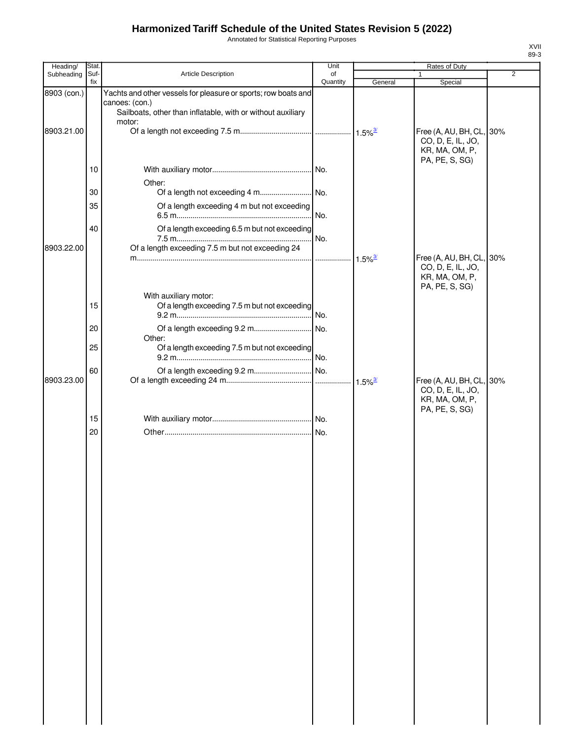Annotated for Statistical Reporting Purposes

| Heading/    | Stat.       |                                                                | Unit     |                       | Rates of Duty                                 |                |
|-------------|-------------|----------------------------------------------------------------|----------|-----------------------|-----------------------------------------------|----------------|
| Subheading  | Suf-<br>fix | Article Description                                            | of       |                       |                                               | $\overline{2}$ |
| 8903 (con.) |             | Yachts and other vessels for pleasure or sports; row boats and | Quantity | General               | Special                                       |                |
|             |             | canoes: (con.)                                                 |          |                       |                                               |                |
|             |             | Sailboats, other than inflatable, with or without auxiliary    |          |                       |                                               |                |
|             |             | motor:                                                         |          |                       |                                               |                |
| 8903.21.00  |             |                                                                |          |                       | Free (A, AU, BH, CL, 30%                      |                |
|             |             |                                                                |          |                       | CO, D, E, IL, JO,<br>KR, MA, OM, P,           |                |
|             |             |                                                                |          |                       | PA, PE, S, SG)                                |                |
|             | 10          |                                                                |          |                       |                                               |                |
|             |             | Other:                                                         |          |                       |                                               |                |
|             | 30          |                                                                |          |                       |                                               |                |
|             | 35          | Of a length exceeding 4 m but not exceeding                    |          |                       |                                               |                |
|             |             |                                                                | No.      |                       |                                               |                |
|             | 40          | Of a length exceeding 6.5 m but not exceeding                  |          |                       |                                               |                |
|             |             |                                                                | No.      |                       |                                               |                |
| 8903.22.00  |             | Of a length exceeding 7.5 m but not exceeding 24               |          |                       |                                               |                |
|             |             |                                                                | .        | $1.5\%$ <sup>3/</sup> | Free (A, AU, BH, CL, 30%                      |                |
|             |             |                                                                |          |                       | CO, D, E, IL, JO,                             |                |
|             |             |                                                                |          |                       | KR, MA, OM, P,<br>PA, PE, S, SG)              |                |
|             |             | With auxiliary motor:                                          |          |                       |                                               |                |
|             | 15          | Of a length exceeding 7.5 m but not exceeding                  |          |                       |                                               |                |
|             |             |                                                                |          |                       |                                               |                |
|             | 20          |                                                                |          |                       |                                               |                |
|             |             | Other:                                                         |          |                       |                                               |                |
|             | 25          | Of a length exceeding 7.5 m but not exceeding                  |          |                       |                                               |                |
|             |             |                                                                |          |                       |                                               |                |
|             | 60          |                                                                |          |                       |                                               |                |
| 8903.23.00  |             |                                                                |          | $1.5\%$ <sup>3/</sup> | Free (A, AU, BH, CL, 30%<br>CO, D, E, IL, JO, |                |
|             |             |                                                                |          |                       | KR, MA, OM, P,                                |                |
|             |             |                                                                |          |                       | PA, PE, S, SG)                                |                |
|             | 15          |                                                                |          |                       |                                               |                |
|             | 20          |                                                                |          |                       |                                               |                |
|             |             |                                                                |          |                       |                                               |                |
|             |             |                                                                |          |                       |                                               |                |
|             |             |                                                                |          |                       |                                               |                |
|             |             |                                                                |          |                       |                                               |                |
|             |             |                                                                |          |                       |                                               |                |
|             |             |                                                                |          |                       |                                               |                |
|             |             |                                                                |          |                       |                                               |                |
|             |             |                                                                |          |                       |                                               |                |
|             |             |                                                                |          |                       |                                               |                |
|             |             |                                                                |          |                       |                                               |                |
|             |             |                                                                |          |                       |                                               |                |
|             |             |                                                                |          |                       |                                               |                |
|             |             |                                                                |          |                       |                                               |                |
|             |             |                                                                |          |                       |                                               |                |
|             |             |                                                                |          |                       |                                               |                |
|             |             |                                                                |          |                       |                                               |                |
|             |             |                                                                |          |                       |                                               |                |
|             |             |                                                                |          |                       |                                               |                |
|             |             |                                                                |          |                       |                                               |                |
|             |             |                                                                |          |                       |                                               |                |
|             |             |                                                                |          |                       |                                               |                |
|             |             |                                                                |          |                       |                                               |                |
|             |             |                                                                |          |                       |                                               |                |
|             |             |                                                                |          |                       |                                               |                |
|             |             |                                                                |          |                       |                                               |                |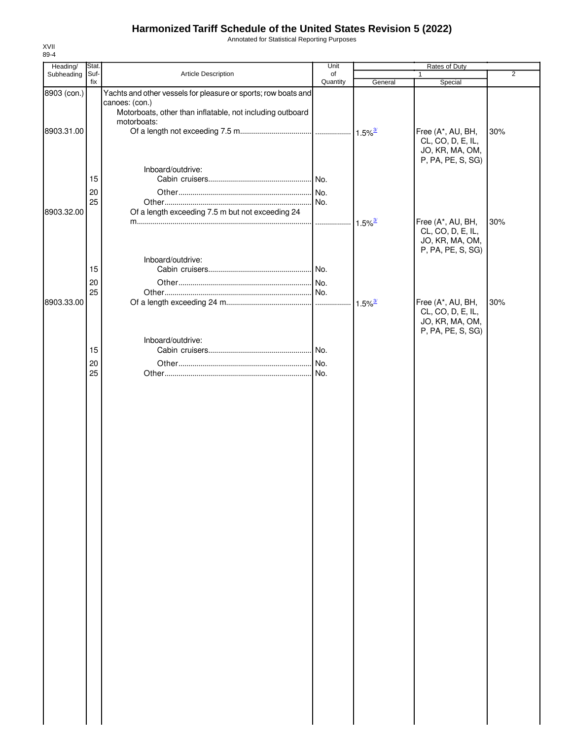Annotated for Statistical Reporting Purposes

| Heading/    | Stat.    |                                                                                  | Unit     | Rates of Duty         |                                                                                |                |
|-------------|----------|----------------------------------------------------------------------------------|----------|-----------------------|--------------------------------------------------------------------------------|----------------|
| Subheading  | Suf-     | Article Description                                                              | of       |                       | 1                                                                              | $\overline{2}$ |
| 8903 (con.) | fix      | Yachts and other vessels for pleasure or sports; row boats and<br>canoes: (con.) | Quantity | General               | Special                                                                        |                |
|             |          | Motorboats, other than inflatable, not including outboard<br>motorboats:         |          |                       |                                                                                |                |
| 8903.31.00  |          |                                                                                  |          |                       | Free (A*, AU, BH,<br>CL, CO, D, E, IL,<br>JO, KR, MA, OM,                      | 30%            |
|             | 15       | Inboard/outdrive:                                                                |          |                       | P, PA, PE, S, SG)                                                              |                |
|             | 20<br>25 |                                                                                  |          |                       |                                                                                |                |
| 8903.32.00  |          | Of a length exceeding 7.5 m but not exceeding 24                                 |          | $1.5\%$ <sup>3/</sup> | Free (A*, AU, BH,<br>CL, CO, D, E, IL,<br>JO, KR, MA, OM,                      | 30%            |
|             | 15       | Inboard/outdrive:                                                                |          |                       | P, PA, PE, S, SG)                                                              |                |
|             | 20<br>25 |                                                                                  |          |                       |                                                                                |                |
| 8903.33.00  |          |                                                                                  |          | $1.5\%$ <sup>3/</sup> | Free (A*, AU, BH,<br>CL, CO, D, E, IL,<br>JO, KR, MA, OM,<br>P, PA, PE, S, SG) | 30%            |
|             | 15       | Inboard/outdrive:                                                                |          |                       |                                                                                |                |
|             | 20<br>25 |                                                                                  |          |                       |                                                                                |                |
|             |          |                                                                                  |          |                       |                                                                                |                |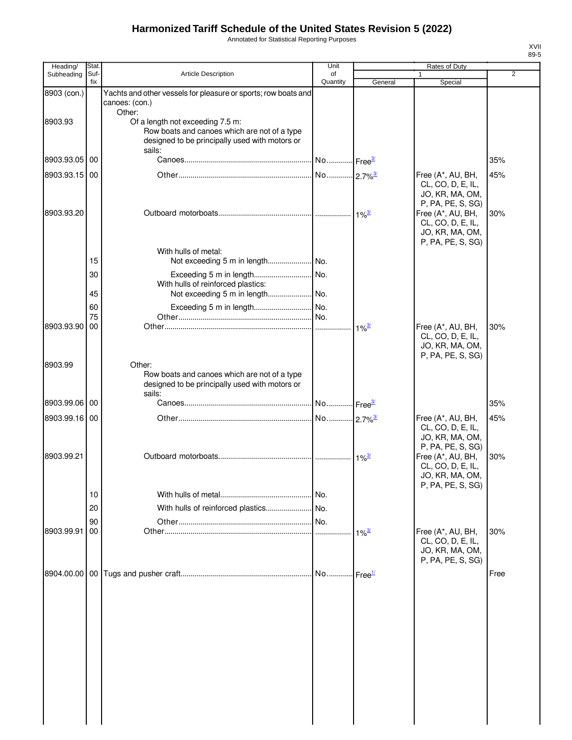Annotated for Statistical Reporting Purposes

| Heading/      | <b>Stat</b> |                                                                                                | Unit                  |                          | Rates of Duty                          |      |
|---------------|-------------|------------------------------------------------------------------------------------------------|-----------------------|--------------------------|----------------------------------------|------|
| Subheading    | Suf-<br>fix | <b>Article Description</b>                                                                     | of<br>Quantity        | General                  | Special                                | 2    |
| 8903 (con.)   |             | Yachts and other vessels for pleasure or sports; row boats and                                 |                       |                          |                                        |      |
|               |             | canoes: (con.)                                                                                 |                       |                          |                                        |      |
|               |             | Other:                                                                                         |                       |                          |                                        |      |
| 8903.93       |             | Of a length not exceeding 7.5 m:                                                               |                       |                          |                                        |      |
|               |             | Row boats and canoes which are not of a type<br>designed to be principally used with motors or |                       |                          |                                        |      |
|               |             | sails:                                                                                         |                       |                          |                                        |      |
| 8903.93.05 00 |             |                                                                                                | No Free <sup>3/</sup> |                          |                                        | 35%  |
| 8903.93.15 00 |             |                                                                                                |                       |                          | Free (A*, AU, BH,                      | 45%  |
|               |             |                                                                                                |                       |                          | CL, CO, D, E, IL,                      |      |
|               |             |                                                                                                |                       |                          | JO, KR, MA, OM,                        |      |
| 8903.93.20    |             |                                                                                                |                       |                          | P, PA, PE, S, SG)                      |      |
|               |             |                                                                                                |                       | $1\%^{3/2}$              | Free (A*, AU, BH,<br>CL, CO, D, E, IL, | 30%  |
|               |             |                                                                                                |                       |                          | JO, KR, MA, OM,                        |      |
|               |             |                                                                                                |                       |                          | P, PA, PE, S, SG)                      |      |
|               |             | With hulls of metal:                                                                           |                       |                          |                                        |      |
|               | 15          |                                                                                                |                       |                          |                                        |      |
|               | 30          |                                                                                                |                       |                          |                                        |      |
|               |             | With hulls of reinforced plastics:                                                             |                       |                          |                                        |      |
|               | 45          |                                                                                                |                       |                          |                                        |      |
|               | 60          |                                                                                                |                       |                          |                                        |      |
| 8903.93.90    | 75<br>00    |                                                                                                | No.<br>.              | $1\%^{3/2}$              | Free (A*, AU, BH,                      | 30%  |
|               |             |                                                                                                |                       |                          | CL, CO, D, E, IL,                      |      |
|               |             |                                                                                                |                       |                          | JO, KR, MA, OM,                        |      |
|               |             |                                                                                                |                       |                          | P, PA, PE, S, SG)                      |      |
| 8903.99       |             | Other:                                                                                         |                       |                          |                                        |      |
|               |             | Row boats and canoes which are not of a type<br>designed to be principally used with motors or |                       |                          |                                        |      |
|               |             | sails:                                                                                         |                       |                          |                                        |      |
| 8903.99.06 00 |             |                                                                                                | No Free <sup>3/</sup> |                          |                                        | 35%  |
| 8903.99.16 00 |             |                                                                                                | No 2.7% <sup>3/</sup> |                          | Free (A*, AU, BH,                      | 45%  |
|               |             |                                                                                                |                       |                          | CL, CO, D, E, IL,                      |      |
|               |             |                                                                                                |                       |                          | JO, KR, MA, OM,                        |      |
|               |             |                                                                                                |                       |                          | P, PA, PE, S, SG)                      |      |
| 8903.99.21    |             |                                                                                                |                       | $\cdot$ 1% $\frac{3}{2}$ | Free (A*, AU, BH,<br>CL, CO, D, E, IL, | 30%  |
|               |             |                                                                                                |                       |                          | JO, KR, MA, OM,                        |      |
|               |             |                                                                                                |                       |                          | P, PA, PE, S, SG)                      |      |
|               | 10          |                                                                                                | No.                   |                          |                                        |      |
|               | 20          | With hulls of reinforced plastics                                                              | No.                   |                          |                                        |      |
|               | 90          |                                                                                                | No.                   |                          |                                        |      |
| 8903.99.91    | 00          |                                                                                                |                       | $1\%^{\frac{3}{2}}$      | Free (A*, AU, BH,                      | 30%  |
|               |             |                                                                                                |                       |                          | CL, CO, D, E, IL,                      |      |
|               |             |                                                                                                |                       |                          | JO, KR, MA, OM,                        |      |
|               |             |                                                                                                |                       |                          | P, PA, PE, S, SG)                      |      |
|               |             |                                                                                                | No Free <sup>1/</sup> |                          |                                        | Free |
|               |             |                                                                                                |                       |                          |                                        |      |
|               |             |                                                                                                |                       |                          |                                        |      |
|               |             |                                                                                                |                       |                          |                                        |      |
|               |             |                                                                                                |                       |                          |                                        |      |
|               |             |                                                                                                |                       |                          |                                        |      |
|               |             |                                                                                                |                       |                          |                                        |      |
|               |             |                                                                                                |                       |                          |                                        |      |
|               |             |                                                                                                |                       |                          |                                        |      |
|               |             |                                                                                                |                       |                          |                                        |      |
|               |             |                                                                                                |                       |                          |                                        |      |
|               |             |                                                                                                |                       |                          |                                        |      |
|               |             |                                                                                                |                       |                          |                                        |      |
|               |             |                                                                                                |                       |                          |                                        |      |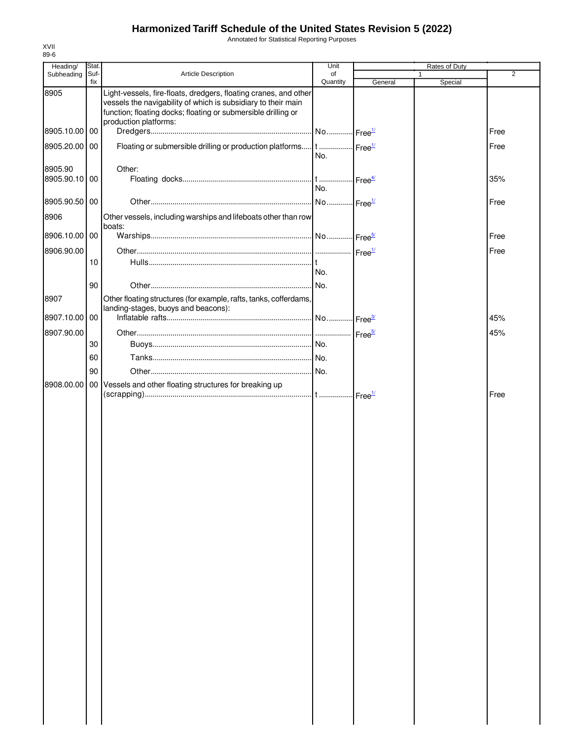Annotated for Statistical Reporting Purposes

| Heading/      | <b>Stat</b> |                                                                                                                                                                                                                             | Unit                         |                          | Rates of Duty |                |
|---------------|-------------|-----------------------------------------------------------------------------------------------------------------------------------------------------------------------------------------------------------------------------|------------------------------|--------------------------|---------------|----------------|
| Subheading    | Suf-        | Article Description                                                                                                                                                                                                         | of                           |                          |               | $\overline{2}$ |
|               | fix         |                                                                                                                                                                                                                             | Quantity                     | General                  | Special       |                |
| 8905          |             | Light-vessels, fire-floats, dredgers, floating cranes, and other<br>vessels the navigability of which is subsidiary to their main<br>function; floating docks; floating or submersible drilling or<br>production platforms: |                              |                          |               |                |
| 8905.10.00    | 00          |                                                                                                                                                                                                                             |                              |                          |               | Free           |
| 8905.20.00    | 00          | Floating or submersible drilling or production platforms t  Free <sup>1/</sup>                                                                                                                                              | No.                          |                          |               | Free           |
| 8905.90       |             | Other:                                                                                                                                                                                                                      |                              |                          |               |                |
| 8905.90.10 00 |             |                                                                                                                                                                                                                             | t  Free <sup>4/</sup><br>No. |                          |               | 35%            |
| 8905.90.50 00 |             |                                                                                                                                                                                                                             | No Free <sup>1/</sup>        |                          |               | Free           |
| 8906          |             | Other vessels, including warships and lifeboats other than row                                                                                                                                                              |                              |                          |               |                |
| 8906.10.00 00 |             | boats:                                                                                                                                                                                                                      |                              |                          |               | Free           |
| 8906.90.00    |             |                                                                                                                                                                                                                             |                              |                          |               | Free           |
|               | 10          |                                                                                                                                                                                                                             |                              |                          |               |                |
|               |             |                                                                                                                                                                                                                             | No.                          |                          |               |                |
|               | 90          |                                                                                                                                                                                                                             |                              |                          |               |                |
| 8907          |             | Other floating structures (for example, rafts, tanks, cofferdams,<br>landing-stages, buoys and beacons):                                                                                                                    |                              |                          |               |                |
| 8907.10.00    | $00\,$      |                                                                                                                                                                                                                             |                              |                          |               | 45%            |
| 8907.90.00    |             |                                                                                                                                                                                                                             |                              |                          |               | 45%            |
|               | 30          |                                                                                                                                                                                                                             |                              |                          |               |                |
|               | 60          |                                                                                                                                                                                                                             |                              |                          |               |                |
|               | 90          |                                                                                                                                                                                                                             |                              |                          |               |                |
| 8908.00.00    | 00 I        | Vessels and other floating structures for breaking up                                                                                                                                                                       |                              |                          |               |                |
|               |             |                                                                                                                                                                                                                             |                              | Free $^{\underline{11}}$ |               | Free           |
|               |             |                                                                                                                                                                                                                             |                              |                          |               |                |
|               |             |                                                                                                                                                                                                                             |                              |                          |               |                |
|               |             |                                                                                                                                                                                                                             |                              |                          |               |                |
|               |             |                                                                                                                                                                                                                             |                              |                          |               |                |
|               |             |                                                                                                                                                                                                                             |                              |                          |               |                |
|               |             |                                                                                                                                                                                                                             |                              |                          |               |                |
|               |             |                                                                                                                                                                                                                             |                              |                          |               |                |
|               |             |                                                                                                                                                                                                                             |                              |                          |               |                |
|               |             |                                                                                                                                                                                                                             |                              |                          |               |                |
|               |             |                                                                                                                                                                                                                             |                              |                          |               |                |
|               |             |                                                                                                                                                                                                                             |                              |                          |               |                |
|               |             |                                                                                                                                                                                                                             |                              |                          |               |                |
|               |             |                                                                                                                                                                                                                             |                              |                          |               |                |
|               |             |                                                                                                                                                                                                                             |                              |                          |               |                |
|               |             |                                                                                                                                                                                                                             |                              |                          |               |                |
|               |             |                                                                                                                                                                                                                             |                              |                          |               |                |
|               |             |                                                                                                                                                                                                                             |                              |                          |               |                |
|               |             |                                                                                                                                                                                                                             |                              |                          |               |                |
|               |             |                                                                                                                                                                                                                             |                              |                          |               |                |
|               |             |                                                                                                                                                                                                                             |                              |                          |               |                |
|               |             |                                                                                                                                                                                                                             |                              |                          |               |                |
|               |             |                                                                                                                                                                                                                             |                              |                          |               |                |
|               |             |                                                                                                                                                                                                                             |                              |                          |               |                |
|               |             |                                                                                                                                                                                                                             |                              |                          |               |                |
|               |             |                                                                                                                                                                                                                             |                              |                          |               |                |